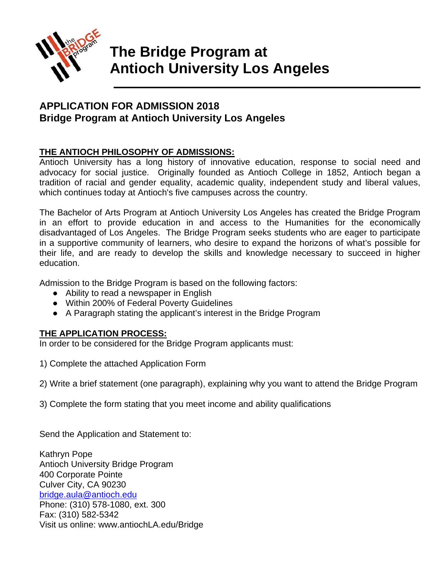

# **The Bridge Program at Antioch University Los Angeles**

**\_\_\_\_\_\_\_\_\_\_\_\_\_\_\_\_\_\_\_\_\_\_\_\_\_\_\_\_\_\_\_\_\_\_\_\_\_\_\_\_\_\_\_\_\_\_\_\_\_\_\_\_\_\_**

# **APPLICATION FOR ADMISSION 2018 Bridge Program at Antioch University Los Angeles**

### **THE ANTIOCH PHILOSOPHY OF ADMISSIONS:**

Antioch University has a long history of innovative education, response to social need and advocacy for social justice. Originally founded as Antioch College in 1852, Antioch began a tradition of racial and gender equality, academic quality, independent study and liberal values, which continues today at Antioch's five campuses across the country.

The Bachelor of Arts Program at Antioch University Los Angeles has created the Bridge Program in an effort to provide education in and access to the Humanities for the economically disadvantaged of Los Angeles. The Bridge Program seeks students who are eager to participate in a supportive community of learners, who desire to expand the horizons of what's possible for their life, and are ready to develop the skills and knowledge necessary to succeed in higher education.

Admission to the Bridge Program is based on the following factors:

- Ability to read a newspaper in English
- Within 200% of Federal Poverty Guidelines
- A Paragraph stating the applicant's interest in the Bridge Program

### **THE APPLICATION PROCESS:**

In order to be considered for the Bridge Program applicants must:

1) Complete the attached Application Form

2) Write a brief statement (one paragraph), explaining why you want to attend the Bridge Program

3) Complete the form stating that you meet income and ability qualifications

Send the Application and Statement to:

Kathryn Pope Antioch University Bridge Program 400 Corporate Pointe Culver City, CA 90230 [bridge.aula@antioch.edu](mailto:bridge.aula@antioch.edu) Phone: (310) 578-1080, ext. 300 Fax: (310) 582-5342 Visit us online: www.antiochLA.edu/Bridge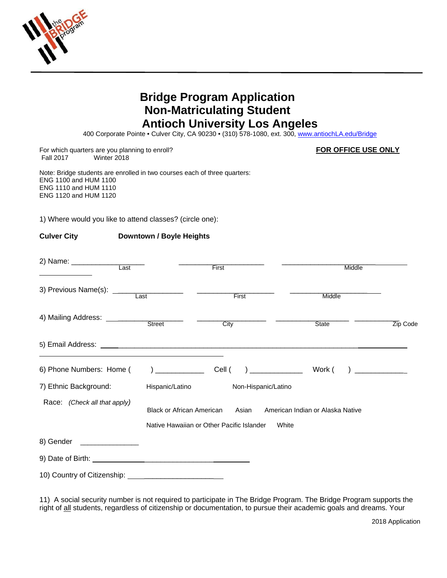

# **Bridge Program Application Non-Matriculating Student Antioch University Los Angeles**

400 Corporate Pointe • Culver City, CA 90230 • (310) 578-1080, ext. 300, [www.antiochLA.edu/Bridge](http://www.antiochla.edu/Bridge)

For which quarters are you planning to enroll? **FOR OFFICE USE ONLY**<br>Fall 2017 Winter 2018 Winter 2018

Note: Bridge students are enrolled in two courses each of three quarters: ENG 1100 and HUM 1100 ENG 1110 and HUM 1110 ENG 1120 and HUM 1120

1) Where would you like to attend classes? (circle one):

#### **Culver City Downtown / Boyle Heights**

|                                               |                                                                                                                                     | First               | Middle |          |  |
|-----------------------------------------------|-------------------------------------------------------------------------------------------------------------------------------------|---------------------|--------|----------|--|
| 3) Previous Name(s): $\frac{1}{\sqrt{1-x^2}}$ |                                                                                                                                     | First               | Middle |          |  |
|                                               |                                                                                                                                     | City                | State  | Zip Code |  |
|                                               |                                                                                                                                     |                     |        |          |  |
| 6) Phone Numbers: Home (                      |                                                                                                                                     | $)$ Cell (          |        |          |  |
| 7) Ethnic Background:                         | Hispanic/Latino                                                                                                                     | Non-Hispanic/Latino |        |          |  |
| Race: (Check all that apply)                  | <b>Black or African American</b><br>Asian<br>American Indian or Alaska Native<br>Native Hawaiian or Other Pacific Islander<br>White |                     |        |          |  |
|                                               |                                                                                                                                     |                     |        |          |  |
| 8) Gender _________________                   |                                                                                                                                     |                     |        |          |  |
|                                               |                                                                                                                                     |                     |        |          |  |
| 10) Country of Citizenship:                   |                                                                                                                                     |                     |        |          |  |

11) A social security number is not required to participate in The Bridge Program. The Bridge Program supports the right of all students, regardless of citizenship or documentation, to pursue their academic goals and dreams. Your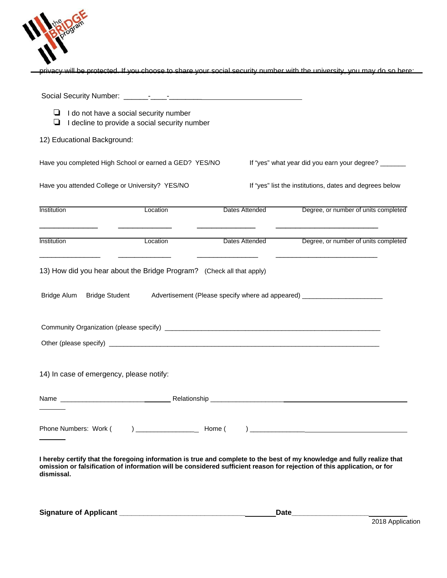

privacy will be protected. If you choose to share your social security number with the university, you may do so here:

| ⊔                  |                                          | $\Box$ I do not have a social security number<br>I decline to provide a social security number |                |                                                                                                                                                                                                                                                    |
|--------------------|------------------------------------------|------------------------------------------------------------------------------------------------|----------------|----------------------------------------------------------------------------------------------------------------------------------------------------------------------------------------------------------------------------------------------------|
|                    | 12) Educational Background:              |                                                                                                |                |                                                                                                                                                                                                                                                    |
|                    |                                          | Have you completed High School or earned a GED? YES/NO                                         |                | If "yes" what year did you earn your degree? _______                                                                                                                                                                                               |
|                    |                                          | Have you attended College or University? YES/NO                                                |                | If "yes" list the institutions, dates and degrees below                                                                                                                                                                                            |
| <b>Institution</b> |                                          | Location                                                                                       | Dates Attended | Degree, or number of units completed                                                                                                                                                                                                               |
| <b>Institution</b> |                                          | Location                                                                                       | Dates Attended | Degree, or number of units completed                                                                                                                                                                                                               |
|                    |                                          | 13) How did you hear about the Bridge Program? (Check all that apply)                          |                |                                                                                                                                                                                                                                                    |
|                    | Bridge Alum Bridge Student               |                                                                                                |                | Advertisement (Please specify where ad appeared) _______________________________                                                                                                                                                                   |
|                    |                                          |                                                                                                |                |                                                                                                                                                                                                                                                    |
|                    |                                          |                                                                                                |                |                                                                                                                                                                                                                                                    |
|                    | 14) In case of emergency, please notify: |                                                                                                |                |                                                                                                                                                                                                                                                    |
|                    |                                          |                                                                                                |                |                                                                                                                                                                                                                                                    |
|                    |                                          |                                                                                                |                |                                                                                                                                                                                                                                                    |
|                    |                                          |                                                                                                |                | I hereby certify that the foregoing information is true and complete to the best of my knowledge and fully realize that<br>omission or falsification of information will be considered sufficient reason for rejection of this application, or for |

**dismissal.**

**Signature of Applicant \_\_\_\_\_\_\_\_\_\_\_\_\_\_\_\_\_\_\_\_\_\_\_\_\_\_\_\_\_\_\_ Date\_\_\_\_\_\_\_\_\_\_\_\_\_\_\_\_\_\_\_**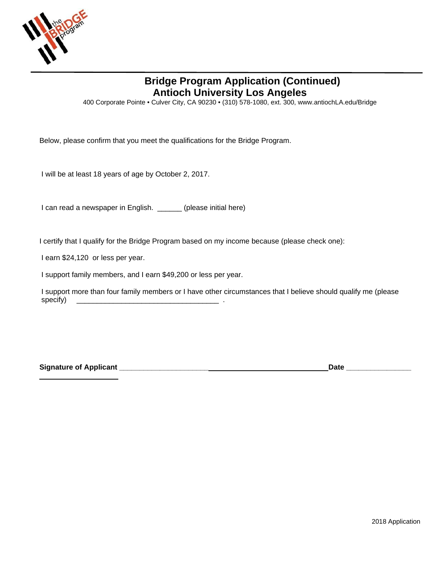

# **Bridge Program Application (Continued) Antioch University Los Angeles**

400 Corporate Pointe • Culver City, CA 90230 • (310) 578-1080, ext. 300, www.antiochLA.edu/Bridge

Below, please confirm that you meet the qualifications for the Bridge Program.

I will be at least 18 years of age by October 2, 2017.

I can read a newspaper in English. \_\_\_\_\_\_ (please initial here)

I certify that I qualify for the Bridge Program based on my income because (please check one):

I earn \$24,120 or less per year.

I support family members, and I earn \$49,200 or less per year.

I support more than four family members or I have other circumstances that I believe should qualify me (please specify) \_\_\_\_\_\_\_\_\_\_\_\_\_\_\_\_\_\_\_\_\_\_\_\_\_\_\_\_\_\_\_\_\_\_\_ .

**Signature of Applicant \_\_\_\_\_\_\_\_\_\_\_\_\_\_\_\_\_\_\_\_\_\_ Date \_\_\_\_\_\_\_\_\_\_\_\_\_\_\_\_**